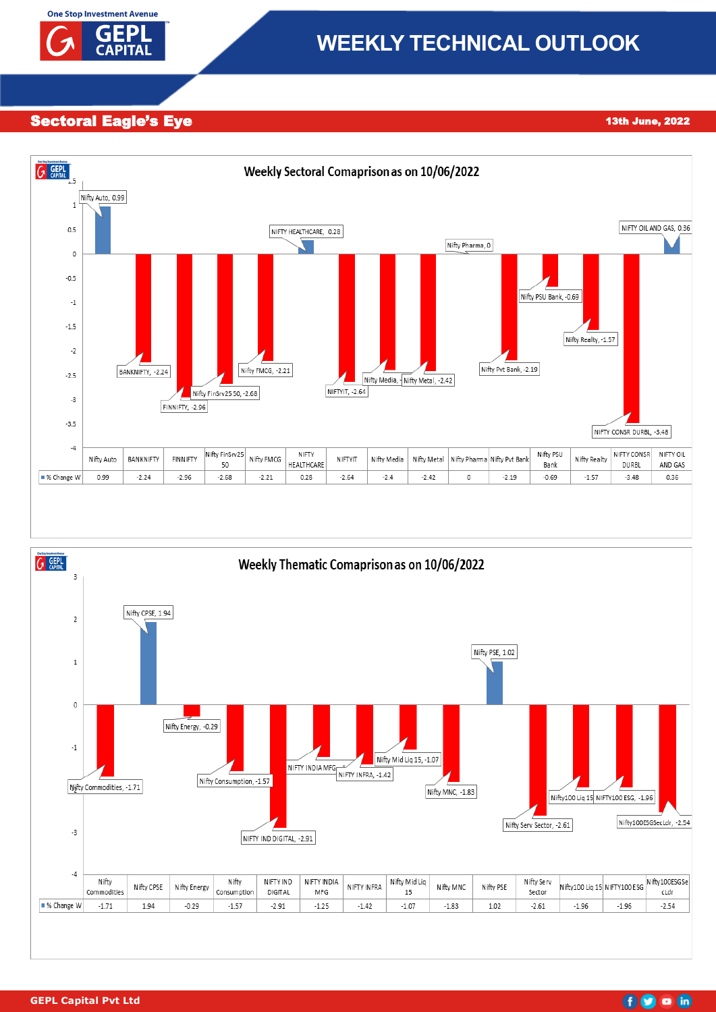

# **WEEKLY TECHNICAL OUTLOOK**

Sectoral Eagle's Eye 17th November 2022 13th June, 2022





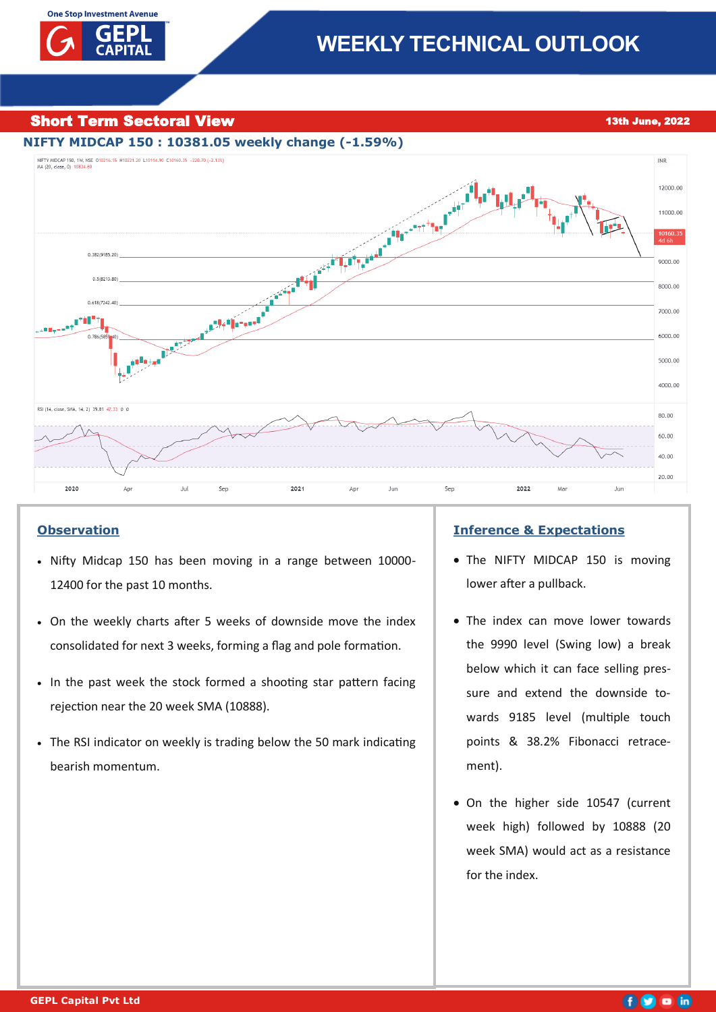

Short Term Sectoral View 1988 and 2022 **Short Term Sectoral View 13th June**, 2022



# **Observation**

- Nifty Midcap 150 has been moving in a range between 10000- 12400 for the past 10 months.
- On the weekly charts after 5 weeks of downside move the index consolidated for next 3 weeks, forming a flag and pole formation.
- In the past week the stock formed a shooting star pattern facing rejection near the 20 week SMA (10888).
- The RSI indicator on weekly is trading below the 50 mark indicating bearish momentum.

### **Inference & Expectations**

- The NIFTY MIDCAP 150 is moving lower after a pullback.
- The index can move lower towards the 9990 level (Swing low) a break below which it can face selling pressure and extend the downside towards 9185 level (multiple touch points & 38.2% Fibonacci retracement).
- On the higher side 10547 (current week high) followed by 10888 (20 week SMA) would act as a resistance for the index.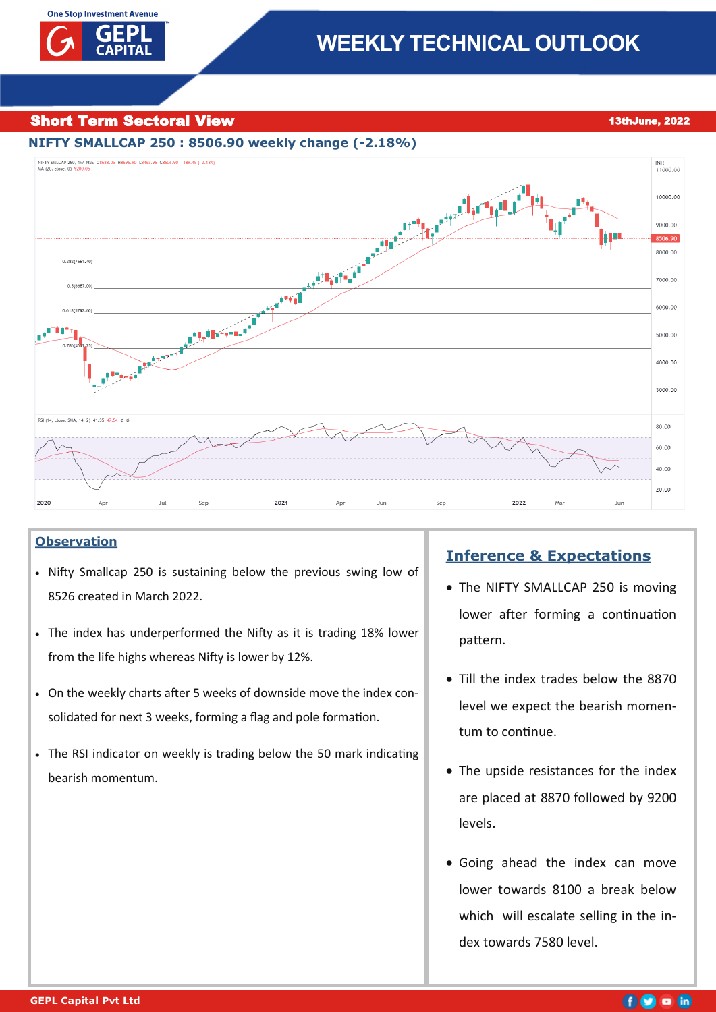# **Short Term Sectoral View 13thJune, 2022**



# **Observation**

- Nifty Smallcap 250 is sustaining below the previous swing low of 8526 created in March 2022.
- The index has underperformed the Nifty as it is trading 18% lower from the life highs whereas Nifty is lower by 12%.
- On the weekly charts after 5 weeks of downside move the index consolidated for next 3 weeks, forming a flag and pole formation.
- The RSI indicator on weekly is trading below the 50 mark indicating bearish momentum.

# **Inference & Expectations**

- The NIFTY SMALLCAP 250 is moving lower after forming a continuation pattern.
- Till the index trades below the 8870 level we expect the bearish momentum to continue.
- The upside resistances for the index are placed at 8870 followed by 9200 levels.
- Going ahead the index can move lower towards 8100 a break below which will escalate selling in the index towards 7580 level.